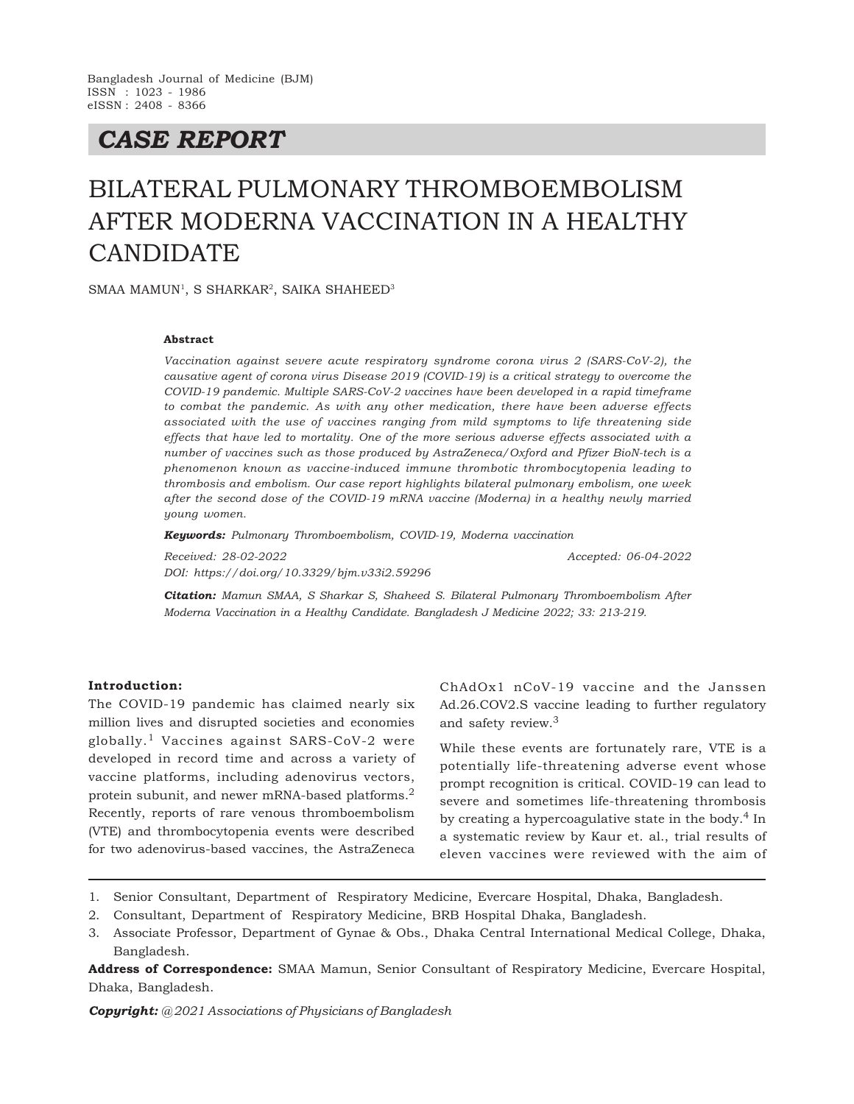# *CASE REPORT*

# BILATERAL PULMONARY THROMBOEMBOLISM AFTER MODERNA VACCINATION IN A HEALTHY CANDIDATE

SMAA MAMUN<sup>1</sup>, S SHARKAR<sup>2</sup>, SAIKA SHAHEED<sup>3</sup>

#### **Abstract**

*Vaccination against severe acute respiratory syndrome corona virus 2 (SARS-CoV-2), the causative agent of corona virus Disease 2019 (COVID-19) is a critical strategy to overcome the COVID-19 pandemic. Multiple SARS-CoV-2 vaccines have been developed in a rapid timeframe to combat the pandemic. As with any other medication, there have been adverse effects associated with the use of vaccines ranging from mild symptoms to life threatening side effects that have led to mortality. One of the more serious adverse effects associated with a number of vaccines such as those produced by AstraZeneca/Oxford and Pfizer BioN-tech is a phenomenon known as vaccine-induced immune thrombotic thrombocytopenia leading to thrombosis and embolism. Our case report highlights bilateral pulmonary embolism, one week after the second dose of the COVID-19 mRNA vaccine (Moderna) in a healthy newly married young women.*

*Keywords: Pulmonary Thromboembolism, COVID-19, Moderna vaccination*

*Received: 28-02-2022 Accepted: 06-04-2022 DOI: https://doi.org/10.3329/bjm.v33i2.59296*

*Citation: Mamun SMAA, S Sharkar S, Shaheed S. Bilateral Pulmonary Thromboembolism After Moderna Vaccination in a Healthy Candidate. Bangladesh J Medicine 2022; 33: 213-219.*

#### **Introduction:**

The COVID-19 pandemic has claimed nearly six million lives and disrupted societies and economies globally.1 Vaccines against SARS-CoV-2 were developed in record time and across a variety of vaccine platforms, including adenovirus vectors, protein subunit, and newer mRNA-based platforms.<sup>2</sup> Recently, reports of rare venous thromboembolism (VTE) and thrombocytopenia events were described for two adenovirus-based vaccines, the AstraZeneca

ChAdOx1 nCoV-19 vaccine and the Janssen Ad.26.COV2.S vaccine leading to further regulatory and safety review.<sup>3</sup>

While these events are fortunately rare, VTE is a potentially life-threatening adverse event whose prompt recognition is critical. COVID-19 can lead to severe and sometimes life-threatening thrombosis by creating a hypercoagulative state in the body.<sup>4</sup> In a systematic review by Kaur et. al., trial results of eleven vaccines were reviewed with the aim of

- 2. Consultant, Department of Respiratory Medicine, BRB Hospital Dhaka, Bangladesh.
- 3. Associate Professor, Department of Gynae & Obs., Dhaka Central International Medical College, Dhaka, Bangladesh.

**Address of Correspondence:** SMAA Mamun, Senior Consultant of Respiratory Medicine, Evercare Hospital, Dhaka, Bangladesh.

*Copyright: @ 2021 Associations of Physicians of Bangladesh*

<sup>1.</sup> Senior Consultant, Department of Respiratory Medicine, Evercare Hospital, Dhaka, Bangladesh.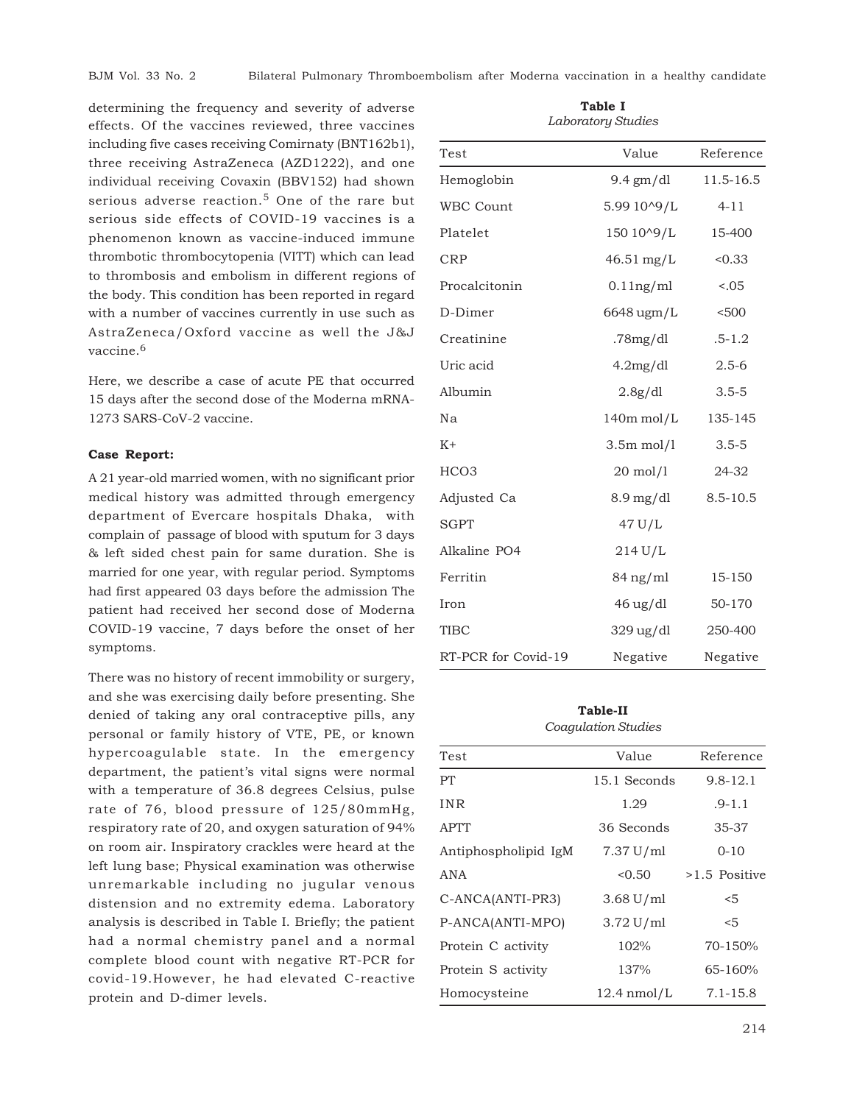determining the frequency and severity of adverse effects. Of the vaccines reviewed, three vaccines including five cases receiving Comirnaty (BNT162b1), three receiving AstraZeneca (AZD1222), and one individual receiving Covaxin (BBV152) had shown serious adverse reaction.<sup>5</sup> One of the rare but serious side effects of COVID-19 vaccines is a phenomenon known as vaccine-induced immune thrombotic thrombocytopenia (VITT) which can lead to thrombosis and embolism in different regions of the body. This condition has been reported in regard with a number of vaccines currently in use such as AstraZeneca/Oxford vaccine as well the J&J vaccine.<sup>6</sup>

Here, we describe a case of acute PE that occurred 15 days after the second dose of the Moderna mRNA-1273 SARS-CoV-2 vaccine.

# **Case Report:**

A 21 year-old married women, with no significant prior medical history was admitted through emergency department of Evercare hospitals Dhaka, with complain of passage of blood with sputum for 3 days & left sided chest pain for same duration. She is married for one year, with regular period. Symptoms had first appeared 03 days before the admission The patient had received her second dose of Moderna COVID-19 vaccine, 7 days before the onset of her symptoms.

There was no history of recent immobility or surgery, and she was exercising daily before presenting. She denied of taking any oral contraceptive pills, any personal or family history of VTE, PE, or known hypercoagulable state. In the emergency department, the patient's vital signs were normal with a temperature of 36.8 degrees Celsius, pulse rate of 76, blood pressure of 125/80mmHg, respiratory rate of 20, and oxygen saturation of 94% on room air. Inspiratory crackles were heard at the left lung base; Physical examination was otherwise unremarkable including no jugular venous distension and no extremity edema. Laboratory analysis is described in Table I. Briefly; the patient had a normal chemistry panel and a normal complete blood count with negative RT-PCR for covid-19.However, he had elevated C-reactive protein and D-dimer levels.

| Laboratory Staates  |                           |              |
|---------------------|---------------------------|--------------|
| Test                | Value                     | Reference    |
| Hemoglobin          | $9.4 \text{ gm/dl}$       | 11.5-16.5    |
| <b>WBC Count</b>    | 5.99 10^9/L               | $4 - 11$     |
| Platelet            | 150 10^9/L                | 15-400       |
| <b>CRP</b>          | $46.51$ mg/L              | < 0.33       |
| Procalcitonin       | $0.11$ ng/ml              | 0.05         |
| D-Dimer             | 6648 ugm/L                | < 500        |
| Creatinine          | .78 $mg/dl$               | $.5 - 1.2$   |
| Uric acid           | 4.2mg/dl                  | $2.5 - 6$    |
| Albumin             | 2.8g/dl                   | $3.5 - 5$    |
| Nа                  | $140m$ mol/L              | 135-145      |
| $K+$                | $3.5m$ mol/1              | $3.5 - 5$    |
| HCO <sub>3</sub>    | $20 \text{ mol}/1$        | 24-32        |
| Adjusted Ca         | $8.9 \,\mathrm{mg/dl}$    | $8.5 - 10.5$ |
| <b>SGPT</b>         | 47 U/L                    |              |
| Alkaline PO4        | $214$ U/L                 |              |
| Ferritin            | $84$ ng/ml                | 15-150       |
| Iron                | $46 \text{ ug}/\text{dl}$ | 50-170       |
| <b>TIBC</b>         | 329 ug/dl                 | 250-400      |
| RT-PCR for Covid-19 | Negative                  | Negative     |

**Table I** *Laboratory Studies*

# **Table-II** *Coagulation Studies*

| Test                 | Value                 | Reference     |
|----------------------|-----------------------|---------------|
| PT                   | 15.1 Seconds          | $9.8 - 12.1$  |
| <b>INR</b>           | 1.29                  | $.9 - 1.1$    |
| <b>APTT</b>          | 36 Seconds            | 35-37         |
| Antiphospholipid IgM | 7.37 U/ml             | $0 - 10$      |
| <b>ANA</b>           | < 0.50                | >1.5 Positive |
| C-ANCA(ANTI-PR3)     | $3.68$ U/ml           | $<$ 5         |
| P-ANCA(ANTI-MPO)     | $3.72 \text{ U/ml}$   | $<$ 5         |
| Protein C activity   | 102%                  | 70-150%       |
| Protein S activity   | 137%                  | $65 - 160%$   |
| Homocysteine         | $12.4 \text{ nmol/L}$ | $7.1 - 15.8$  |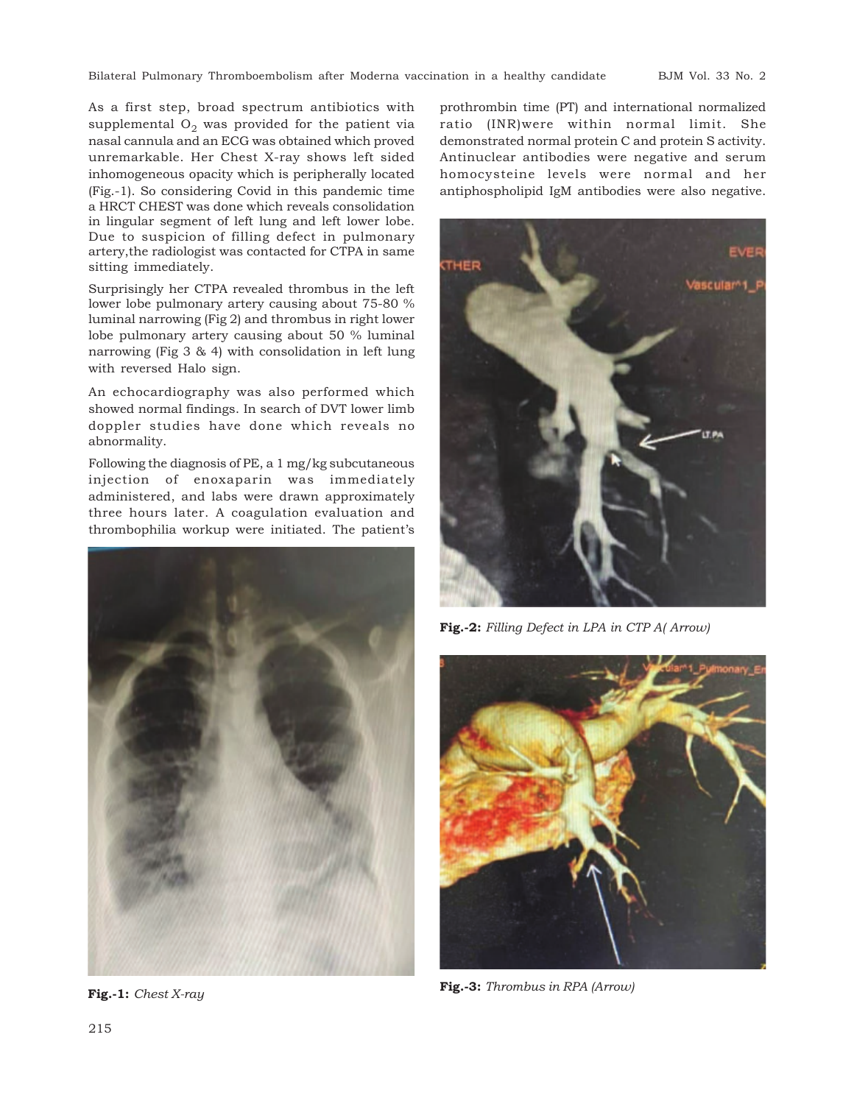Bilateral Pulmonary Thromboembolism after Moderna vaccination in a healthy candidate BJM Vol. 33 No. 2

As a first step, broad spectrum antibiotics with supplemental  ${\rm O}_2$  was provided for the patient via nasal cannula and an ECG was obtained which proved unremarkable. Her Chest X-ray shows left sided inhomogeneous opacity which is peripherally located (Fig.-1). So considering Covid in this pandemic time a HRCT CHEST was done which reveals consolidation in lingular segment of left lung and left lower lobe. Due to suspicion of filling defect in pulmonary artery,the radiologist was contacted for CTPA in same sitting immediately.

Surprisingly her CTPA revealed thrombus in the left lower lobe pulmonary artery causing about 75-80 % luminal narrowing (Fig 2) and thrombus in right lower lobe pulmonary artery causing about 50 % luminal narrowing (Fig 3 & 4) with consolidation in left lung with reversed Halo sign.

An echocardiography was also performed which showed normal findings. In search of DVT lower limb doppler studies have done which reveals no abnormality.

Following the diagnosis of PE, a 1 mg/kg subcutaneous injection of enoxaparin was immediately administered, and labs were drawn approximately three hours later. A coagulation evaluation and thrombophilia workup were initiated. The patient's



**Fig.-1:** *Chest X-ray*

prothrombin time (PT) and international normalized ratio (INR)were within normal limit. She demonstrated normal protein C and protein S activity. Antinuclear antibodies were negative and serum homocysteine levels were normal and her antiphospholipid IgM antibodies were also negative.



**Fig.-2:** *Filling Defect in LPA in CTP A( Arrow)*



**Fig.-3:** *Thrombus in RPA (Arrow)*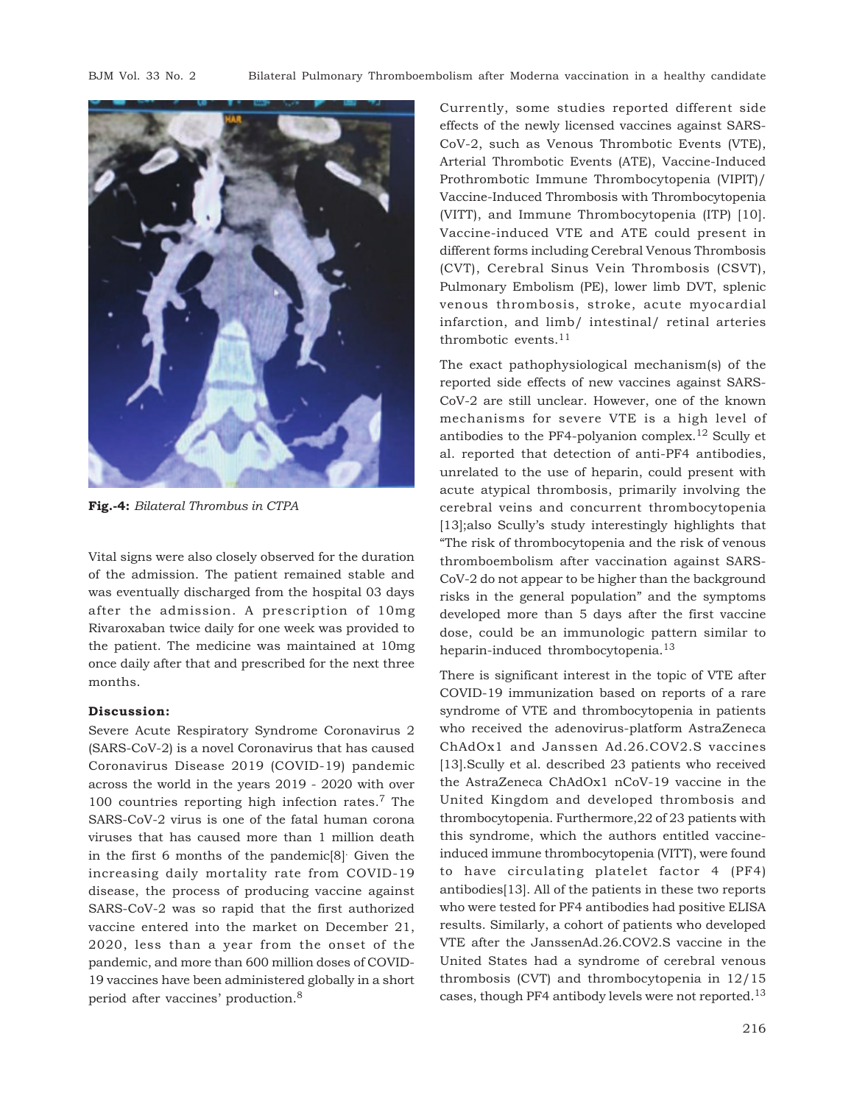

**Fig.-4:** *Bilateral Thrombus in CTPA*

Vital signs were also closely observed for the duration of the admission. The patient remained stable and was eventually discharged from the hospital 03 days after the admission. A prescription of 10mg Rivaroxaban twice daily for one week was provided to the patient. The medicine was maintained at 10mg once daily after that and prescribed for the next three months.

# **Discussion:**

Severe Acute Respiratory Syndrome Coronavirus 2 (SARS-CoV-2) is a novel Coronavirus that has caused Coronavirus Disease 2019 (COVID-19) pandemic across the world in the years 2019 - 2020 with over 100 countries reporting high infection rates.7 The SARS-CoV-2 virus is one of the fatal human corona viruses that has caused more than 1 million death in the first 6 months of the pandemic[8]. Given the increasing daily mortality rate from COVID-19 disease, the process of producing vaccine against SARS-CoV-2 was so rapid that the first authorized vaccine entered into the market on December 21, 2020, less than a year from the onset of the pandemic, and more than 600 million doses of COVID-19 vaccines have been administered globally in a short period after vaccines' production.<sup>8</sup>

Currently, some studies reported different side effects of the newly licensed vaccines against SARS-CoV-2, such as Venous Thrombotic Events (VTE), Arterial Thrombotic Events (ATE), Vaccine-Induced Prothrombotic Immune Thrombocytopenia (VIPIT)/ Vaccine-Induced Thrombosis with Thrombocytopenia (VITT), and Immune Thrombocytopenia (ITP) [10]. Vaccine-induced VTE and ATE could present in different forms including Cerebral Venous Thrombosis (CVT), Cerebral Sinus Vein Thrombosis (CSVT), Pulmonary Embolism (PE), lower limb DVT, splenic venous thrombosis, stroke, acute myocardial infarction, and limb/ intestinal/ retinal arteries thrombotic events. $11$ 

The exact pathophysiological mechanism(s) of the reported side effects of new vaccines against SARS-CoV-2 are still unclear. However, one of the known mechanisms for severe VTE is a high level of antibodies to the PF4-polyanion complex.<sup>12</sup> Scully et al. reported that detection of anti-PF4 antibodies, unrelated to the use of heparin, could present with acute atypical thrombosis, primarily involving the cerebral veins and concurrent thrombocytopenia [13];also Scully's study interestingly highlights that "The risk of thrombocytopenia and the risk of venous thromboembolism after vaccination against SARS-CoV-2 do not appear to be higher than the background risks in the general population" and the symptoms developed more than 5 days after the first vaccine dose, could be an immunologic pattern similar to heparin-induced thrombocytopenia.<sup>13</sup>

There is significant interest in the topic of VTE after COVID-19 immunization based on reports of a rare syndrome of VTE and thrombocytopenia in patients who received the adenovirus-platform AstraZeneca ChAdOx1 and Janssen Ad.26.COV2.S vaccines [13].Scully et al. described 23 patients who received the AstraZeneca ChAdOx1 nCoV-19 vaccine in the United Kingdom and developed thrombosis and thrombocytopenia. Furthermore,22 of 23 patients with this syndrome, which the authors entitled vaccineinduced immune thrombocytopenia (VITT), were found to have circulating platelet factor 4 (PF4) antibodies[13]. All of the patients in these two reports who were tested for PF4 antibodies had positive ELISA results. Similarly, a cohort of patients who developed VTE after the JanssenAd.26.COV2.S vaccine in the United States had a syndrome of cerebral venous thrombosis (CVT) and thrombocytopenia in 12/15 cases, though PF4 antibody levels were not reported.<sup>13</sup>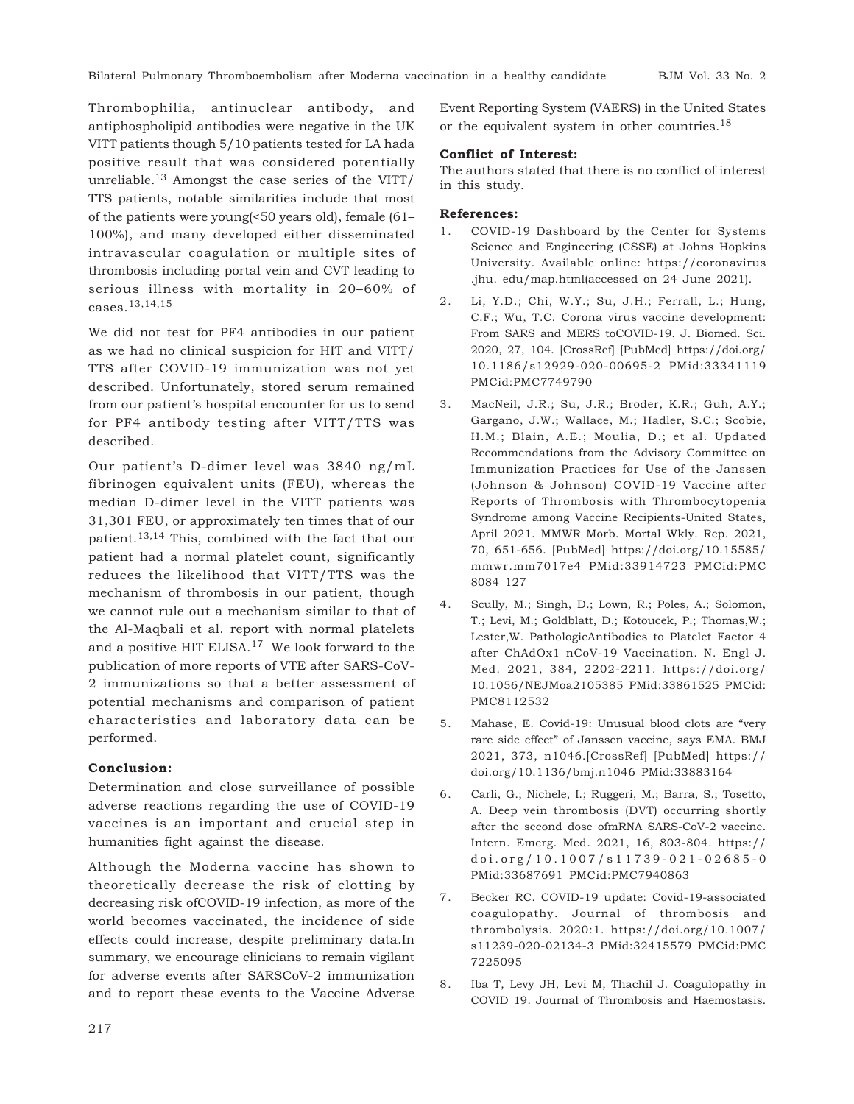Thrombophilia, antinuclear antibody, and antiphospholipid antibodies were negative in the UK VITT patients though 5/10 patients tested for LA hada positive result that was considered potentially unreliable.<sup>13</sup> Amongst the case series of the VITT/ TTS patients, notable similarities include that most of the patients were young(<50 years old), female (61– 100%), and many developed either disseminated intravascular coagulation or multiple sites of thrombosis including portal vein and CVT leading to serious illness with mortality in 20–60% of cases.13,14,15

We did not test for PF4 antibodies in our patient as we had no clinical suspicion for HIT and VITT/ TTS after COVID-19 immunization was not yet described. Unfortunately, stored serum remained from our patient's hospital encounter for us to send for PF4 antibody testing after VITT/TTS was described.

Our patient's D-dimer level was 3840 ng/mL fibrinogen equivalent units (FEU), whereas the median D-dimer level in the VITT patients was 31,301 FEU, or approximately ten times that of our patient.13,14 This, combined with the fact that our patient had a normal platelet count, significantly reduces the likelihood that VITT/TTS was the mechanism of thrombosis in our patient, though we cannot rule out a mechanism similar to that of the Al-Maqbali et al. report with normal platelets and a positive HIT ELISA.17 We look forward to the publication of more reports of VTE after SARS-CoV-2 immunizations so that a better assessment of potential mechanisms and comparison of patient characteristics and laboratory data can be performed.

## **Conclusion:**

Determination and close surveillance of possible adverse reactions regarding the use of COVID-19 vaccines is an important and crucial step in humanities fight against the disease.

Although the Moderna vaccine has shown to theoretically decrease the risk of clotting by decreasing risk ofCOVID-19 infection, as more of the world becomes vaccinated, the incidence of side effects could increase, despite preliminary data.In summary, we encourage clinicians to remain vigilant for adverse events after SARSCoV-2 immunization and to report these events to the Vaccine Adverse

Event Reporting System (VAERS) in the United States or the equivalent system in other countries.<sup>18</sup>

# **Conflict of Interest:**

The authors stated that there is no conflict of interest in this study.

## **References:**

- 1. COVID-19 Dashboard by the Center for Systems Science and Engineering (CSSE) at Johns Hopkins University. Available online: https://coronavirus .jhu. edu/map.html(accessed on 24 June 2021).
- 2. Li, Y.D.; Chi, W.Y.; Su, J.H.; Ferrall, L.; Hung, C.F.; Wu, T.C. Corona virus vaccine development: From SARS and MERS toCOVID-19. J. Biomed. Sci. 2020, 27, 104. [CrossRef] [PubMed] https://doi.org/ 10.1186/s12929-020-00695-2 PMid:33341119 PMCid:PMC7749790
- 3. MacNeil, J.R.; Su, J.R.; Broder, K.R.; Guh, A.Y.; Gargano, J.W.; Wallace, M.; Hadler, S.C.; Scobie, H.M.; Blain, A.E.; Moulia, D.; et al. Updated Recommendations from the Advisory Committee on Immunization Practices for Use of the Janssen (Johnson & Johnson) COVID-19 Vaccine after Reports of Thrombosis with Thrombocytopenia Syndrome among Vaccine Recipients-United States, April 2021. MMWR Morb. Mortal Wkly. Rep. 2021, 70, 651-656. [PubMed] https://doi.org/10.15585/ mmwr.mm7017e4 PMid:33914723 PMCid:PMC 8084 127
- 4. Scully, M.; Singh, D.; Lown, R.; Poles, A.; Solomon, T.; Levi, M.; Goldblatt, D.; Kotoucek, P.; Thomas,W.; Lester,W. PathologicAntibodies to Platelet Factor 4 after ChAdOx1 nCoV-19 Vaccination. N. Engl J. Med. 2021, 384, 2202-2211. https://doi.org/ 10.1056/NEJMoa2105385 PMid:33861525 PMCid: PMC8112532
- 5. Mahase, E. Covid-19: Unusual blood clots are "very rare side effect" of Janssen vaccine, says EMA. BMJ 2021, 373, n1046.[CrossRef] [PubMed] https:// doi.org/10.1136/bmj.n1046 PMid:33883164
- 6. Carli, G.; Nichele, I.; Ruggeri, M.; Barra, S.; Tosetto, A. Deep vein thrombosis (DVT) occurring shortly after the second dose ofmRNA SARS-CoV-2 vaccine. Intern. Emerg. Med. 2021, 16, 803-804. https:// doi.org/10.1007/s11739-021-02685-0 PMid:33687691 PMCid:PMC7940863
- 7. Becker RC. COVID-19 update: Covid-19-associated coagulopathy. Journal of thrombosis and thrombolysis. 2020:1. https://doi.org/10.1007/ s11239-020-02134-3 PMid:32415579 PMCid:PMC 7225095
- 8. Iba T, Levy JH, Levi M, Thachil J. Coagulopathy in COVID 19. Journal of Thrombosis and Haemostasis.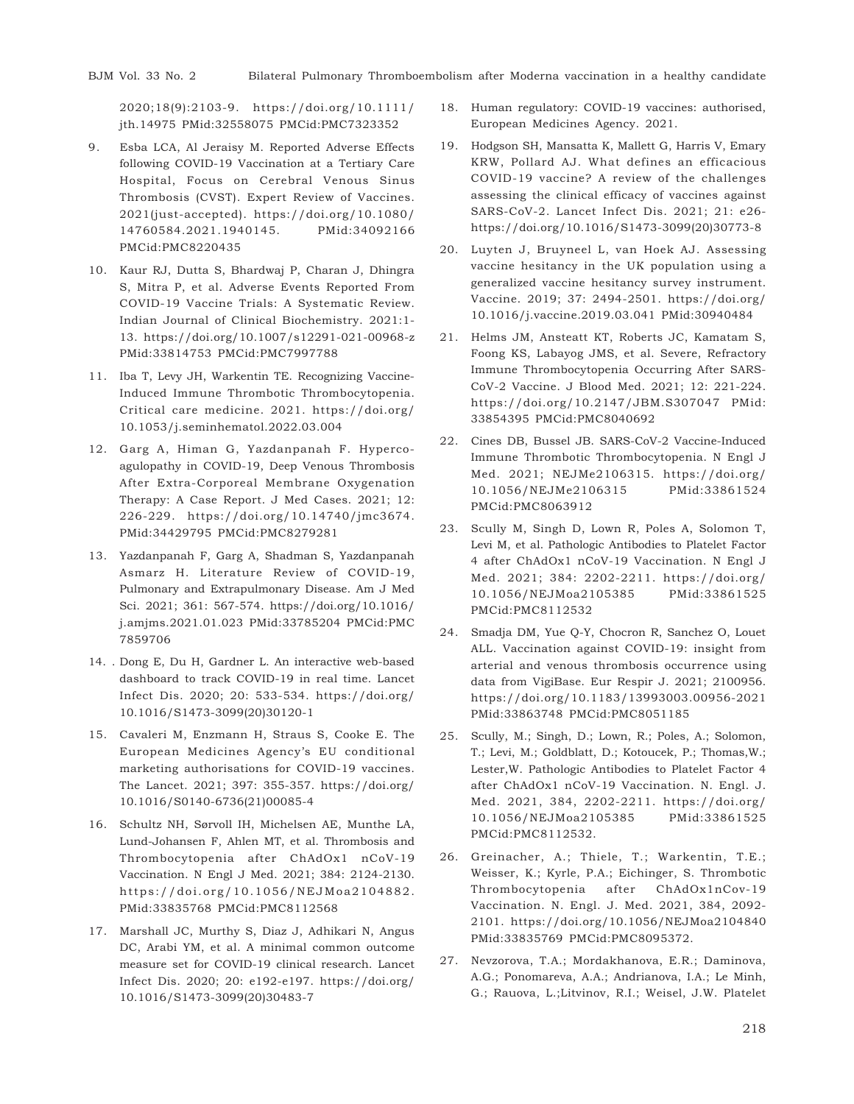2020;18(9):2103-9. https://doi.org/10.1111/ jth.14975 PMid:32558075 PMCid:PMC7323352

- 9. Esba LCA, Al Jeraisy M. Reported Adverse Effects following COVID-19 Vaccination at a Tertiary Care Hospital, Focus on Cerebral Venous Sinus Thrombosis (CVST). Expert Review of Vaccines. 2021(just-accepted). https://doi.org/10.1080/ 14760584.2021.1940145. PMid:34092166 PMCid:PMC8220435
- 10. Kaur RJ, Dutta S, Bhardwaj P, Charan J, Dhingra S, Mitra P, et al. Adverse Events Reported From COVID-19 Vaccine Trials: A Systematic Review. Indian Journal of Clinical Biochemistry. 2021:1- 13. https://doi.org/10.1007/s12291-021-00968-z PMid:33814753 PMCid:PMC7997788
- 11. Iba T, Levy JH, Warkentin TE. Recognizing Vaccine-Induced Immune Thrombotic Thrombocytopenia. Critical care medicine. 2021. https://doi.org/ 10.1053/j.seminhematol.2022.03.004
- 12. Garg A, Himan G, Yazdanpanah F. Hypercoagulopathy in COVID-19, Deep Venous Thrombosis After Extra-Corporeal Membrane Oxygenation Therapy: A Case Report. J Med Cases. 2021; 12: 226-229. https://doi.org/10.14740/jmc3674. PMid:34429795 PMCid:PMC8279281
- 13. Yazdanpanah F, Garg A, Shadman S, Yazdanpanah Asmarz H. Literature Review of COVID-19, Pulmonary and Extrapulmonary Disease. Am J Med Sci. 2021; 361: 567-574. https://doi.org/10.1016/ j.amjms.2021.01.023 PMid:33785204 PMCid:PMC 7859706
- 14. . Dong E, Du H, Gardner L. An interactive web-based dashboard to track COVID-19 in real time. Lancet Infect Dis. 2020; 20: 533-534. https://doi.org/ 10.1016/S1473-3099(20)30120-1
- 15. Cavaleri M, Enzmann H, Straus S, Cooke E. The European Medicines Agency's EU conditional marketing authorisations for COVID-19 vaccines. The Lancet. 2021; 397: 355-357. https://doi.org/ 10.1016/S0140-6736(21)00085-4
- 16. Schultz NH, Sørvoll IH, Michelsen AE, Munthe LA, Lund-Johansen F, Ahlen MT, et al. Thrombosis and Thrombocytopenia after ChAdOx1 nCoV-19 Vaccination. N Engl J Med. 2021; 384: 2124-2130. https://doi.org/10.1056/NEJMoa2104882. PMid:33835768 PMCid:PMC8112568
- 17. Marshall JC, Murthy S, Diaz J, Adhikari N, Angus DC, Arabi YM, et al. A minimal common outcome measure set for COVID-19 clinical research. Lancet Infect Dis. 2020; 20: e192-e197. https://doi.org/ 10.1016/S1473-3099(20)30483-7
- 18. Human regulatory: COVID-19 vaccines: authorised, European Medicines Agency. 2021.
- 19. Hodgson SH, Mansatta K, Mallett G, Harris V, Emary KRW, Pollard AJ. What defines an efficacious COVID-19 vaccine? A review of the challenges assessing the clinical efficacy of vaccines against SARS-CoV-2. Lancet Infect Dis. 2021; 21: e26 https://doi.org/10.1016/S1473-3099(20)30773-8
- 20. Luyten J, Bruyneel L, van Hoek AJ. Assessing vaccine hesitancy in the UK population using a generalized vaccine hesitancy survey instrument. Vaccine. 2019; 37: 2494-2501. https://doi.org/ 10.1016/j.vaccine.2019.03.041 PMid:30940484
- 21. Helms JM, Ansteatt KT, Roberts JC, Kamatam S, Foong KS, Labayog JMS, et al. Severe, Refractory Immune Thrombocytopenia Occurring After SARS-CoV-2 Vaccine. J Blood Med. 2021; 12: 221-224. https://doi.org/10.2147/JBM.S307047 PMid: 33854395 PMCid:PMC8040692
- 22. Cines DB, Bussel JB. SARS-CoV-2 Vaccine-Induced Immune Thrombotic Thrombocytopenia. N Engl J Med. 2021; NEJMe2106315. https://doi.org/ 10.1056/NEJMe2106315 PMid:33861524 PMCid:PMC8063912
- 23. Scully M, Singh D, Lown R, Poles A, Solomon T, Levi M, et al. Pathologic Antibodies to Platelet Factor 4 after ChAdOx1 nCoV-19 Vaccination. N Engl J Med. 2021; 384: 2202-2211. https://doi.org/ 10.1056/NEJMoa2105385 PMid:33861525 PMCid:PMC8112532
- 24. Smadja DM, Yue Q-Y, Chocron R, Sanchez O, Louet ALL. Vaccination against COVID-19: insight from arterial and venous thrombosis occurrence using data from VigiBase. Eur Respir J. 2021; 2100956. https://doi.org/10.1183/13993003.00956-2021 PMid:33863748 PMCid:PMC8051185
- 25. Scully, M.; Singh, D.; Lown, R.; Poles, A.; Solomon, T.; Levi, M.; Goldblatt, D.; Kotoucek, P.; Thomas,W.; Lester,W. Pathologic Antibodies to Platelet Factor 4 after ChAdOx1 nCoV-19 Vaccination. N. Engl. J. Med. 2021, 384, 2202-2211. https://doi.org/ 10.1056/NEJMoa2105385 PMid:33861525 PMCid:PMC8112532.
- 26. Greinacher, A.; Thiele, T.; Warkentin, T.E.; Weisser, K.; Kyrle, P.A.; Eichinger, S. Thrombotic Thrombocytopenia after ChAdOx1nCov-19 Vaccination. N. Engl. J. Med. 2021, 384, 2092- 2101. https://doi.org/10.1056/NEJMoa2104840 PMid:33835769 PMCid:PMC8095372.
- 27. Nevzorova, T.A.; Mordakhanova, E.R.; Daminova, A.G.; Ponomareva, A.A.; Andrianova, I.A.; Le Minh, G.; Rauova, L.;Litvinov, R.I.; Weisel, J.W. Platelet